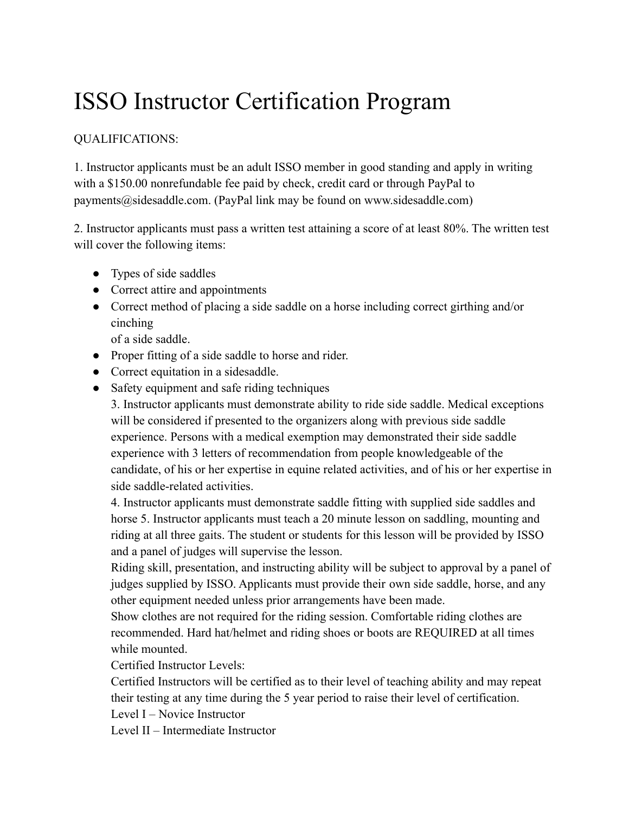## ISSO Instructor Certification Program

## QUALIFICATIONS:

1. Instructor applicants must be an adult ISSO member in good standing and apply in writing with a \$150.00 nonrefundable fee paid by check, credit card or through PayPal to payments@sidesaddle.com. (PayPal link may be found on www.sidesaddle.com)

2. Instructor applicants must pass a written test attaining a score of at least 80%. The written test will cover the following items:

- Types of side saddles
- Correct attire and appointments
- Correct method of placing a side saddle on a horse including correct girthing and/or cinching

of a side saddle.

- Proper fitting of a side saddle to horse and rider.
- Correct equitation in a sidesaddle.
- Safety equipment and safe riding techniques

3. Instructor applicants must demonstrate ability to ride side saddle. Medical exceptions will be considered if presented to the organizers along with previous side saddle experience. Persons with a medical exemption may demonstrated their side saddle experience with 3 letters of recommendation from people knowledgeable of the candidate, of his or her expertise in equine related activities, and of his or her expertise in side saddle-related activities.

4. Instructor applicants must demonstrate saddle fitting with supplied side saddles and horse 5. Instructor applicants must teach a 20 minute lesson on saddling, mounting and riding at all three gaits. The student or students for this lesson will be provided by ISSO and a panel of judges will supervise the lesson.

Riding skill, presentation, and instructing ability will be subject to approval by a panel of judges supplied by ISSO. Applicants must provide their own side saddle, horse, and any other equipment needed unless prior arrangements have been made.

Show clothes are not required for the riding session. Comfortable riding clothes are recommended. Hard hat/helmet and riding shoes or boots are REQUIRED at all times while mounted.

Certified Instructor Levels:

Certified Instructors will be certified as to their level of teaching ability and may repeat their testing at any time during the 5 year period to raise their level of certification.

Level I – Novice Instructor

Level II – Intermediate Instructor